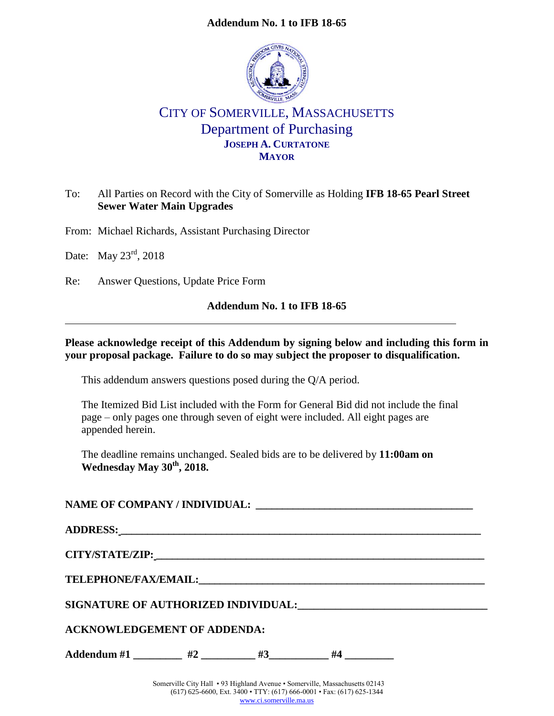#### **Addendum No. 1 to IFB 18-65**



# CITY OF SOMERVILLE, MASSACHUSETTS Department of Purchasing **JOSEPH A. CURTATONE MAYOR**

### To: All Parties on Record with the City of Somerville as Holding **IFB 18-65 Pearl Street Sewer Water Main Upgrades**

From: Michael Richards, Assistant Purchasing Director

Date: May 23<sup>rd</sup>, 2018

Re: Answer Questions, Update Price Form

#### **Addendum No. 1 to IFB 18-65**

#### **Please acknowledge receipt of this Addendum by signing below and including this form in your proposal package. Failure to do so may subject the proposer to disqualification.**

This addendum answers questions posed during the Q/A period.

The Itemized Bid List included with the Form for General Bid did not include the final page – only pages one through seven of eight were included. All eight pages are appended herein.

The deadline remains unchanged. Sealed bids are to be delivered by **11:00am on Wednesday May 30th , 2018.**

| ADDRESS: North Contract of the Contract of the Contract of the Contract of the Contract of the Contract of the Contract of the Contract of the Contract of the Contract of the Contract of the Contract of the Contract of the |  |  |  |  |  |  |
|--------------------------------------------------------------------------------------------------------------------------------------------------------------------------------------------------------------------------------|--|--|--|--|--|--|
|                                                                                                                                                                                                                                |  |  |  |  |  |  |
|                                                                                                                                                                                                                                |  |  |  |  |  |  |
| SIGNATURE OF AUTHORIZED INDIVIDUAL: CONTRACT AND AUTHORIZED INDIVIDUAL:                                                                                                                                                        |  |  |  |  |  |  |
| <b>ACKNOWLEDGEMENT OF ADDENDA:</b>                                                                                                                                                                                             |  |  |  |  |  |  |
| Addendum #1 _________ #2 ________ #3 ________ #4 ________                                                                                                                                                                      |  |  |  |  |  |  |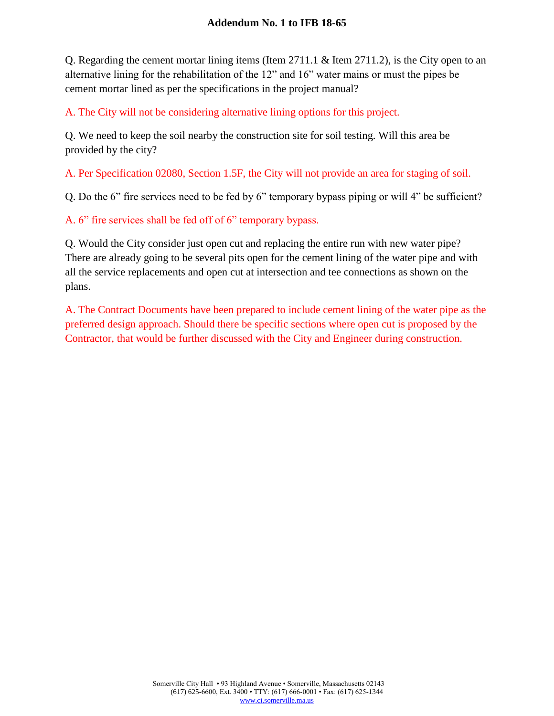#### **Addendum No. 1 to IFB 18-65**

Q. Regarding the cement mortar lining items (Item 2711.1 & Item 2711.2), is the City open to an alternative lining for the rehabilitation of the 12" and 16" water mains or must the pipes be cement mortar lined as per the specifications in the project manual?

A. The City will not be considering alternative lining options for this project.

Q. We need to keep the soil nearby the construction site for soil testing. Will this area be provided by the city?

A. Per Specification 02080, Section 1.5F, the City will not provide an area for staging of soil.

Q. Do the 6" fire services need to be fed by 6" temporary bypass piping or will 4" be sufficient?

A. 6" fire services shall be fed off of 6" temporary bypass.

Q. Would the City consider just open cut and replacing the entire run with new water pipe? There are already going to be several pits open for the cement lining of the water pipe and with all the service replacements and open cut at intersection and tee connections as shown on the plans.

A. The Contract Documents have been prepared to include cement lining of the water pipe as the preferred design approach. Should there be specific sections where open cut is proposed by the Contractor, that would be further discussed with the City and Engineer during construction.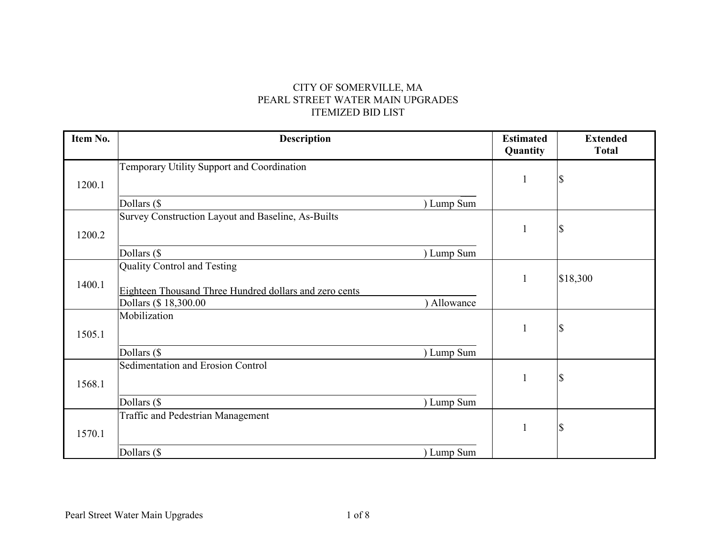## CITY OF SOMERVILLE, MA PEARL STREET WATER MAIN UPGRADES ITEMIZED BID LIST

| Item No. | <b>Description</b>                                     |            | <b>Estimated</b><br>Quantity | <b>Extended</b><br><b>Total</b> |
|----------|--------------------------------------------------------|------------|------------------------------|---------------------------------|
|          | Temporary Utility Support and Coordination             |            |                              |                                 |
| 1200.1   |                                                        |            | $\mathbf{1}$                 | \$                              |
|          | Dollars (\$                                            | ) Lump Sum |                              |                                 |
|          | Survey Construction Layout and Baseline, As-Builts     |            |                              |                                 |
| 1200.2   |                                                        |            | $\mathbf{1}$                 | \$                              |
|          | Dollars (\$                                            | ) Lump Sum |                              |                                 |
|          | Quality Control and Testing                            |            |                              |                                 |
| 1400.1   |                                                        |            | $\mathbf{1}$                 | \$18,300                        |
|          | Eighteen Thousand Three Hundred dollars and zero cents |            |                              |                                 |
|          | Dollars (\$18,300.00                                   | Allowance  |                              |                                 |
|          | Mobilization                                           |            |                              |                                 |
| 1505.1   |                                                        |            | $\mathbf{1}$                 | $\boldsymbol{\mathsf{S}}$       |
|          | Dollars (\$                                            | ) Lump Sum |                              |                                 |
|          | Sedimentation and Erosion Control                      |            |                              |                                 |
| 1568.1   |                                                        |            | $\mathbf{1}$                 | \$                              |
|          |                                                        |            |                              |                                 |
|          | Dollars (\$                                            | ) Lump Sum |                              |                                 |
|          | Traffic and Pedestrian Management                      |            |                              |                                 |
| 1570.1   |                                                        |            | $\mathbf{1}$                 | $\boldsymbol{\mathsf{S}}$       |
|          | Dollars (\$                                            | ) Lump Sum |                              |                                 |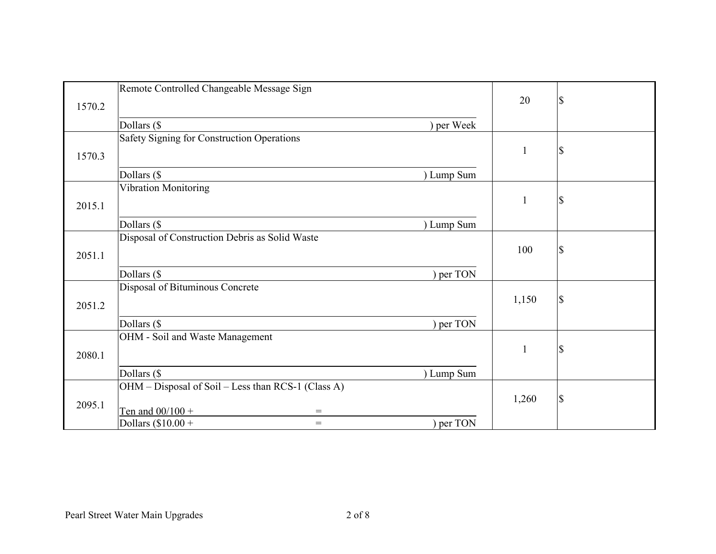|        | Remote Controlled Changeable Message Sign                                   |              |    |
|--------|-----------------------------------------------------------------------------|--------------|----|
|        |                                                                             | 20           | \$ |
| 1570.2 |                                                                             |              |    |
|        | Dollars (\$<br>per Week                                                     |              |    |
|        | Safety Signing for Construction Operations                                  |              |    |
| 1570.3 |                                                                             | 1            | \$ |
|        |                                                                             |              |    |
|        | Dollars (\$<br>) Lump Sum                                                   |              |    |
|        | <b>Vibration Monitoring</b>                                                 |              |    |
| 2015.1 |                                                                             | $\mathbf{1}$ | \$ |
|        |                                                                             |              |    |
|        | Dollars (\$<br>) Lump Sum<br>Disposal of Construction Debris as Solid Waste |              |    |
|        |                                                                             | 100          | \$ |
| 2051.1 |                                                                             |              |    |
|        | Dollars (\$<br>per TON                                                      |              |    |
|        | Disposal of Bituminous Concrete                                             |              |    |
|        |                                                                             | 1,150        | \$ |
| 2051.2 |                                                                             |              |    |
|        | Dollars (\$<br>per TON                                                      |              |    |
|        | OHM - Soil and Waste Management                                             |              |    |
| 2080.1 |                                                                             | $\mathbf{1}$ | \$ |
|        |                                                                             |              |    |
|        | Dollars (\$<br>) Lump Sum                                                   |              |    |
|        | OHM - Disposal of Soil - Less than RCS-1 (Class A)                          |              |    |
| 2095.1 |                                                                             | 1,260        | \$ |
|        | Ten and $00/100 +$<br>$=$                                                   |              |    |
|        | ) per TON<br>Dollars $(\$10.00 +$<br>$=$                                    |              |    |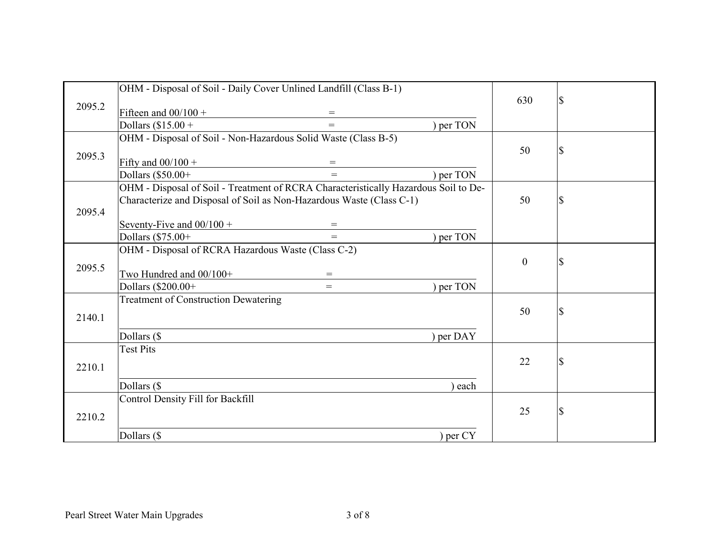|        | OHM - Disposal of Soil - Daily Cover Unlined Landfill (Class B-1)                   |           |                  |               |
|--------|-------------------------------------------------------------------------------------|-----------|------------------|---------------|
| 2095.2 |                                                                                     |           | 630              | $\mathcal{S}$ |
|        | Fifteen and $00/100 +$<br>$=$                                                       |           |                  |               |
|        | Dollars $($15.00 +$<br>$=$                                                          | ) per TON |                  |               |
|        | OHM - Disposal of Soil - Non-Hazardous Solid Waste (Class B-5)                      |           |                  |               |
| 2095.3 |                                                                                     |           | 50               | \$            |
|        | Fifty and $00/100 +$<br>$=$                                                         |           |                  |               |
|        | Dollars (\$50.00+<br>$=$                                                            | per TON   |                  |               |
|        | OHM - Disposal of Soil - Treatment of RCRA Characteristically Hazardous Soil to De- |           |                  |               |
|        | Characterize and Disposal of Soil as Non-Hazardous Waste (Class C-1)                |           | 50               | \$            |
| 2095.4 |                                                                                     |           |                  |               |
|        | Seventy-Five and $00/100 +$<br>$=$                                                  |           |                  |               |
|        | Dollars (\$75.00+<br>$=$                                                            | per TON   |                  |               |
|        | OHM - Disposal of RCRA Hazardous Waste (Class C-2)                                  |           |                  |               |
| 2095.5 |                                                                                     |           | $\boldsymbol{0}$ | \$            |
|        | Two Hundred and 00/100+<br>$=$                                                      |           |                  |               |
|        | Dollars (\$200.00+<br>$=$                                                           | per TON   |                  |               |
|        | <b>Treatment of Construction Dewatering</b>                                         |           |                  |               |
| 2140.1 |                                                                                     |           | 50               | \$            |
|        |                                                                                     |           |                  |               |
|        | Dollars (\$                                                                         | per DAY   |                  |               |
|        | <b>Test Pits</b>                                                                    |           |                  |               |
| 2210.1 |                                                                                     |           | 22               | \$            |
|        |                                                                                     |           |                  |               |
|        | Dollars (\$                                                                         | each      |                  |               |
|        | Control Density Fill for Backfill                                                   |           |                  |               |
| 2210.2 |                                                                                     |           | 25               | \$            |
|        |                                                                                     |           |                  |               |
|        | Dollars (\$                                                                         | ) per CY  |                  |               |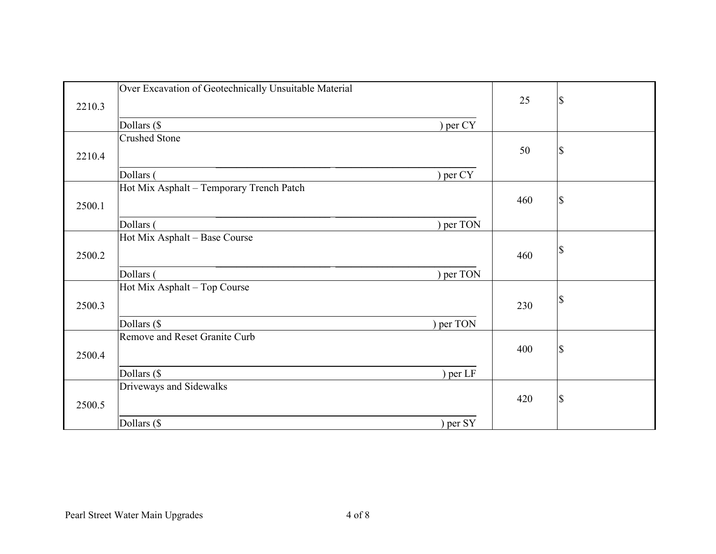| 2210.3 | Over Excavation of Geotechnically Unsuitable Material | 25  | \$            |
|--------|-------------------------------------------------------|-----|---------------|
|        |                                                       |     |               |
|        | Dollars (\$<br>) per CY                               |     |               |
|        | <b>Crushed Stone</b>                                  |     |               |
| 2210.4 |                                                       | 50  | \$            |
|        |                                                       |     |               |
|        | Dollars (<br>per CY                                   |     |               |
|        | Hot Mix Asphalt - Temporary Trench Patch              |     |               |
|        |                                                       | 460 | $\mathcal{S}$ |
| 2500.1 |                                                       |     |               |
|        | per TON<br>Dollars (                                  |     |               |
|        | Hot Mix Asphalt - Base Course                         |     |               |
|        |                                                       |     | \$            |
| 2500.2 |                                                       | 460 |               |
|        | per TON<br>Dollars (                                  |     |               |
|        | Hot Mix Asphalt - Top Course                          |     |               |
|        |                                                       |     | \$            |
| 2500.3 |                                                       | 230 |               |
|        | Dollars (\$<br>per TON                                |     |               |
|        | Remove and Reset Granite Curb                         |     |               |
|        |                                                       | 400 | \$            |
| 2500.4 |                                                       |     |               |
|        | Dollars (\$<br>per LF                                 |     |               |
|        | Driveways and Sidewalks                               |     |               |
|        |                                                       | 420 | \$            |
| 2500.5 |                                                       |     |               |
|        | per SY<br>Dollars (\$                                 |     |               |
|        |                                                       |     |               |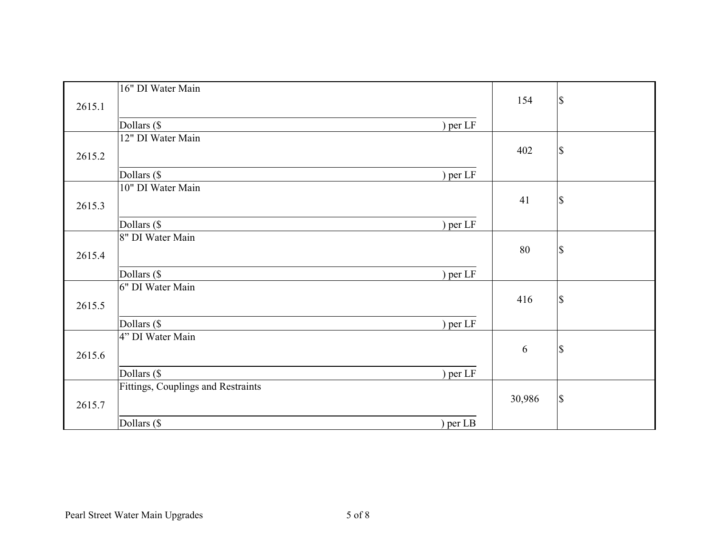|        | 16" DI Water Main                  |          | 154    | $\mathcal{S}$ |
|--------|------------------------------------|----------|--------|---------------|
| 2615.1 |                                    |          |        |               |
|        | Dollars (\$                        | ) per LF |        |               |
|        | 12" DI Water Main                  |          |        |               |
| 2615.2 |                                    |          | 402    | $\mathcal{S}$ |
|        |                                    |          |        |               |
|        | Dollars (\$                        | per LF   |        |               |
|        | 10" DI Water Main                  |          |        |               |
| 2615.3 |                                    |          | 41     | $\mathbb{S}$  |
|        | Dollars (\$                        | per LF   |        |               |
|        | 8" DI Water Main                   |          |        |               |
|        |                                    |          | 80     | $\mathcal{S}$ |
| 2615.4 |                                    |          |        |               |
|        | Dollars (\$                        | per LF   |        |               |
|        | 6" DI Water Main                   |          |        |               |
| 2615.5 |                                    |          | 416    | $\mathcal{S}$ |
|        |                                    |          |        |               |
|        | Dollars (\$                        | per LF   |        |               |
|        | 4" DI Water Main                   |          |        |               |
| 2615.6 |                                    |          | 6      | $\mathbb{S}$  |
|        |                                    |          |        |               |
|        | Dollars (\$                        | per LF   |        |               |
|        | Fittings, Couplings and Restraints |          |        |               |
| 2615.7 |                                    |          | 30,986 | $\mathcal{S}$ |
|        | Dollars (\$                        | per LB   |        |               |
|        |                                    |          |        |               |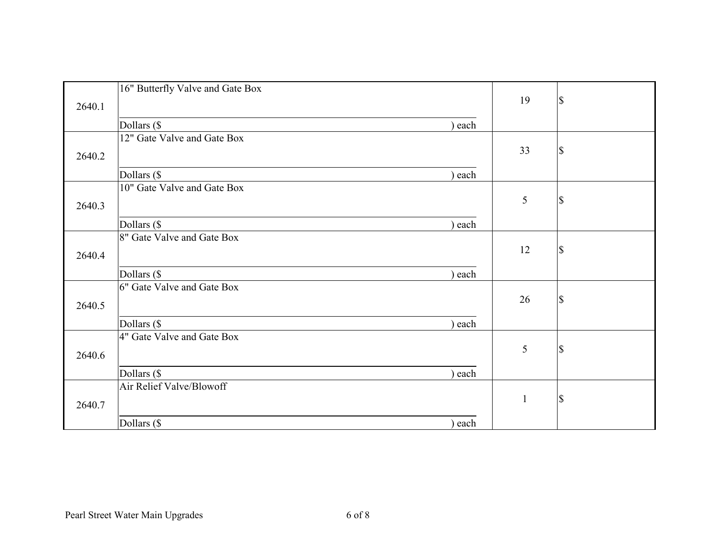|        | 16" Butterfly Valve and Gate Box | 19           | <sup>\$</sup> |
|--------|----------------------------------|--------------|---------------|
| 2640.1 |                                  |              |               |
|        | Dollars (\$<br>each              |              |               |
|        | 12" Gate Valve and Gate Box      |              |               |
| 2640.2 |                                  | 33           | $\mathcal{S}$ |
|        |                                  |              |               |
|        | Dollars (\$<br>each              |              |               |
|        | 10" Gate Valve and Gate Box      |              |               |
| 2640.3 |                                  | 5            | S             |
|        | Dollars (\$<br>each              |              |               |
|        | 8" Gate Valve and Gate Box       |              |               |
|        |                                  | 12           | <sup>\$</sup> |
| 2640.4 |                                  |              |               |
|        | Dollars (\$<br>each              |              |               |
|        | 6" Gate Valve and Gate Box       |              |               |
| 2640.5 |                                  | 26           | $\mathcal{S}$ |
|        |                                  |              |               |
|        | Dollars (\$<br>each              |              |               |
|        | 4" Gate Valve and Gate Box       |              |               |
| 2640.6 |                                  | 5            | S             |
|        |                                  |              |               |
|        | Dollars (\$<br>each              |              |               |
|        | Air Relief Valve/Blowoff         |              |               |
| 2640.7 |                                  | $\mathbf{1}$ | <sup>\$</sup> |
|        |                                  |              |               |
|        | Dollars (\$<br>each              |              |               |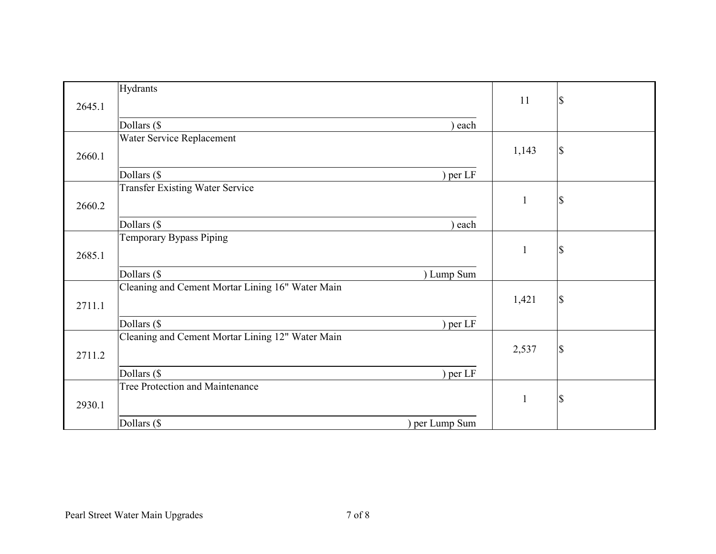| 2645.1 | Hydrants                                         | 11           | \$ |
|--------|--------------------------------------------------|--------------|----|
|        | Dollars (\$<br>each                              |              |    |
|        | Water Service Replacement                        |              |    |
|        |                                                  |              |    |
| 2660.1 |                                                  | 1,143        | \$ |
|        | Dollars (\$<br>per LF                            |              |    |
|        | <b>Transfer Existing Water Service</b>           |              |    |
| 2660.2 |                                                  | $\mathbf{1}$ | \$ |
|        |                                                  |              |    |
|        | Dollars (\$<br>each                              |              |    |
|        | <b>Temporary Bypass Piping</b>                   |              |    |
| 2685.1 |                                                  | $\mathbf{1}$ | \$ |
|        |                                                  |              |    |
|        | Dollars (\$<br>) Lump Sum                        |              |    |
|        | Cleaning and Cement Mortar Lining 16" Water Main |              |    |
| 2711.1 |                                                  | 1,421        | \$ |
|        |                                                  |              |    |
|        | Dollars (\$<br>per LF                            |              |    |
|        | Cleaning and Cement Mortar Lining 12" Water Main |              |    |
| 2711.2 |                                                  | 2,537        | \$ |
|        |                                                  |              |    |
|        | Dollars (\$<br>per LF                            |              |    |
|        | Tree Protection and Maintenance                  |              |    |
| 2930.1 |                                                  | $\mathbf{1}$ | \$ |
|        |                                                  |              |    |
|        | Dollars (\$<br>) per Lump Sum                    |              |    |